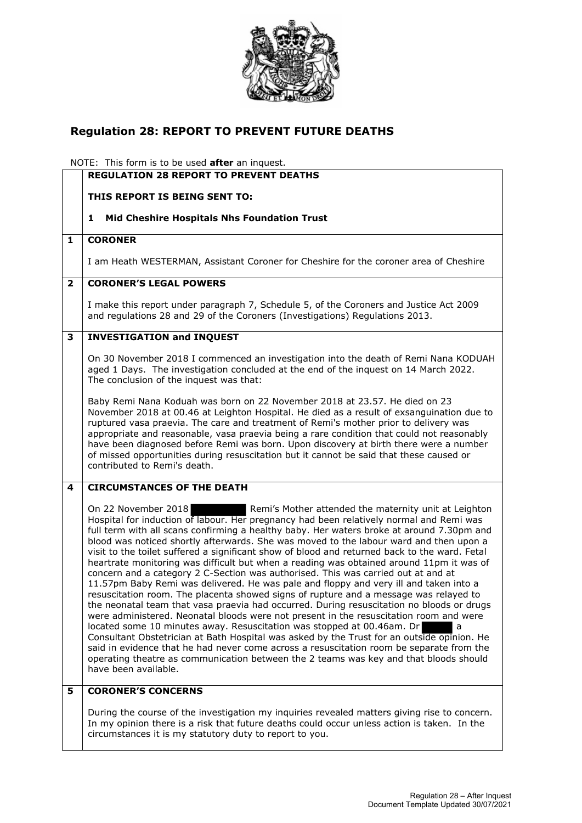

## **Regulation 28: REPORT TO PREVENT FUTURE DEATHS**

NOTE: This form is to be used **after** an inquest.

|              | $N$ . This form is to be used <b>after</b> an inquest.<br><b>REGULATION 28 REPORT TO PREVENT DEATHS</b>                                                                                                                                                                                                                                                                                                                                                                                                                                                                                                                                                                                                                                                                                                                                                                                                                                                                                                                                                                                                                                                                                                                                                                                                                                                                                                             |
|--------------|---------------------------------------------------------------------------------------------------------------------------------------------------------------------------------------------------------------------------------------------------------------------------------------------------------------------------------------------------------------------------------------------------------------------------------------------------------------------------------------------------------------------------------------------------------------------------------------------------------------------------------------------------------------------------------------------------------------------------------------------------------------------------------------------------------------------------------------------------------------------------------------------------------------------------------------------------------------------------------------------------------------------------------------------------------------------------------------------------------------------------------------------------------------------------------------------------------------------------------------------------------------------------------------------------------------------------------------------------------------------------------------------------------------------|
|              | THIS REPORT IS BEING SENT TO:                                                                                                                                                                                                                                                                                                                                                                                                                                                                                                                                                                                                                                                                                                                                                                                                                                                                                                                                                                                                                                                                                                                                                                                                                                                                                                                                                                                       |
|              |                                                                                                                                                                                                                                                                                                                                                                                                                                                                                                                                                                                                                                                                                                                                                                                                                                                                                                                                                                                                                                                                                                                                                                                                                                                                                                                                                                                                                     |
|              | Mid Cheshire Hospitals Nhs Foundation Trust<br>1                                                                                                                                                                                                                                                                                                                                                                                                                                                                                                                                                                                                                                                                                                                                                                                                                                                                                                                                                                                                                                                                                                                                                                                                                                                                                                                                                                    |
| $\mathbf{1}$ | <b>CORONER</b>                                                                                                                                                                                                                                                                                                                                                                                                                                                                                                                                                                                                                                                                                                                                                                                                                                                                                                                                                                                                                                                                                                                                                                                                                                                                                                                                                                                                      |
|              | I am Heath WESTERMAN, Assistant Coroner for Cheshire for the coroner area of Cheshire                                                                                                                                                                                                                                                                                                                                                                                                                                                                                                                                                                                                                                                                                                                                                                                                                                                                                                                                                                                                                                                                                                                                                                                                                                                                                                                               |
| $\mathbf{2}$ | <b>CORONER'S LEGAL POWERS</b>                                                                                                                                                                                                                                                                                                                                                                                                                                                                                                                                                                                                                                                                                                                                                                                                                                                                                                                                                                                                                                                                                                                                                                                                                                                                                                                                                                                       |
|              | I make this report under paragraph 7, Schedule 5, of the Coroners and Justice Act 2009<br>and regulations 28 and 29 of the Coroners (Investigations) Regulations 2013.                                                                                                                                                                                                                                                                                                                                                                                                                                                                                                                                                                                                                                                                                                                                                                                                                                                                                                                                                                                                                                                                                                                                                                                                                                              |
| 3            | <b>INVESTIGATION and INQUEST</b>                                                                                                                                                                                                                                                                                                                                                                                                                                                                                                                                                                                                                                                                                                                                                                                                                                                                                                                                                                                                                                                                                                                                                                                                                                                                                                                                                                                    |
|              | On 30 November 2018 I commenced an investigation into the death of Remi Nana KODUAH<br>aged 1 Days. The investigation concluded at the end of the inquest on 14 March 2022.<br>The conclusion of the inquest was that:                                                                                                                                                                                                                                                                                                                                                                                                                                                                                                                                                                                                                                                                                                                                                                                                                                                                                                                                                                                                                                                                                                                                                                                              |
|              | Baby Remi Nana Koduah was born on 22 November 2018 at 23.57. He died on 23<br>November 2018 at 00.46 at Leighton Hospital. He died as a result of exsanguination due to<br>ruptured vasa praevia. The care and treatment of Remi's mother prior to delivery was<br>appropriate and reasonable, vasa praevia being a rare condition that could not reasonably<br>have been diagnosed before Remi was born. Upon discovery at birth there were a number<br>of missed opportunities during resuscitation but it cannot be said that these caused or<br>contributed to Remi's death.                                                                                                                                                                                                                                                                                                                                                                                                                                                                                                                                                                                                                                                                                                                                                                                                                                    |
| 4            | <b>CIRCUMSTANCES OF THE DEATH</b>                                                                                                                                                                                                                                                                                                                                                                                                                                                                                                                                                                                                                                                                                                                                                                                                                                                                                                                                                                                                                                                                                                                                                                                                                                                                                                                                                                                   |
|              | On 22 November 2018<br>Remi's Mother attended the maternity unit at Leighton<br>Hospital for induction of labour. Her pregnancy had been relatively normal and Remi was<br>full term with all scans confirming a healthy baby. Her waters broke at around 7.30pm and<br>blood was noticed shortly afterwards. She was moved to the labour ward and then upon a<br>visit to the toilet suffered a significant show of blood and returned back to the ward. Fetal<br>heartrate monitoring was difficult but when a reading was obtained around 11pm it was of<br>concern and a category 2 C-Section was authorised. This was carried out at and at<br>11.57pm Baby Remi was delivered. He was pale and floppy and very ill and taken into a<br>resuscitation room. The placenta showed signs of rupture and a message was relayed to<br>the neonatal team that vasa praevia had occurred. During resuscitation no bloods or drugs<br>were administered. Neonatal bloods were not present in the resuscitation room and were<br>located some 10 minutes away. Resuscitation was stopped at 00.46am. Dr<br>a<br>Consultant Obstetrician at Bath Hospital was asked by the Trust for an outside opinion. He<br>said in evidence that he had never come across a resuscitation room be separate from the<br>operating theatre as communication between the 2 teams was key and that bloods should<br>have been available. |
| 5            | <b>CORONER'S CONCERNS</b>                                                                                                                                                                                                                                                                                                                                                                                                                                                                                                                                                                                                                                                                                                                                                                                                                                                                                                                                                                                                                                                                                                                                                                                                                                                                                                                                                                                           |
|              | During the course of the investigation my inquiries revealed matters giving rise to concern.<br>In my opinion there is a risk that future deaths could occur unless action is taken. In the<br>circumstances it is my statutory duty to report to you.                                                                                                                                                                                                                                                                                                                                                                                                                                                                                                                                                                                                                                                                                                                                                                                                                                                                                                                                                                                                                                                                                                                                                              |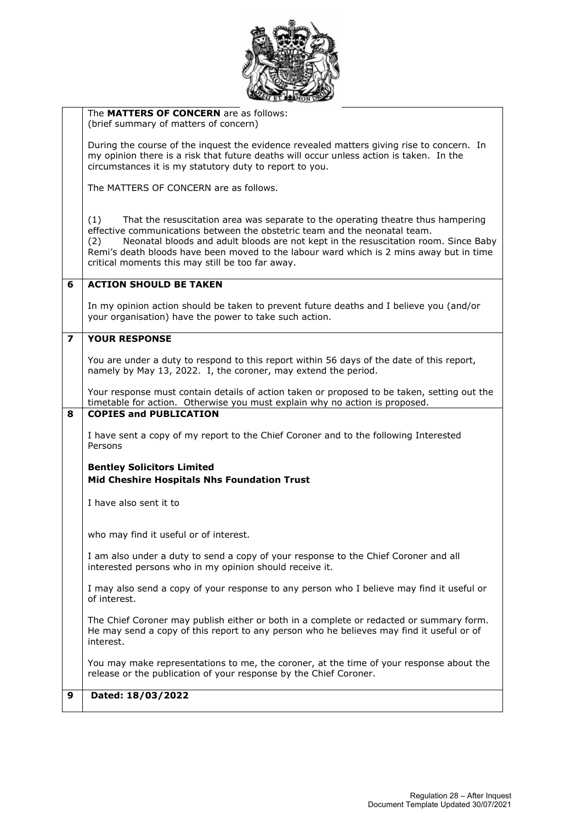

|                         | The MATTERS OF CONCERN are as follows:<br>(brief summary of matters of concern)                                                                                                                                                                                                                                                                                                                                    |
|-------------------------|--------------------------------------------------------------------------------------------------------------------------------------------------------------------------------------------------------------------------------------------------------------------------------------------------------------------------------------------------------------------------------------------------------------------|
|                         | During the course of the inquest the evidence revealed matters giving rise to concern. In<br>my opinion there is a risk that future deaths will occur unless action is taken. In the<br>circumstances it is my statutory duty to report to you.                                                                                                                                                                    |
|                         | The MATTERS OF CONCERN are as follows.                                                                                                                                                                                                                                                                                                                                                                             |
|                         | (1)<br>That the resuscitation area was separate to the operating theatre thus hampering<br>effective communications between the obstetric team and the neonatal team.<br>Neonatal bloods and adult bloods are not kept in the resuscitation room. Since Baby<br>(2)<br>Remi's death bloods have been moved to the labour ward which is 2 mins away but in time<br>critical moments this may still be too far away. |
| 6                       | <b>ACTION SHOULD BE TAKEN</b>                                                                                                                                                                                                                                                                                                                                                                                      |
|                         | In my opinion action should be taken to prevent future deaths and I believe you (and/or<br>your organisation) have the power to take such action.                                                                                                                                                                                                                                                                  |
| $\overline{\mathbf{z}}$ | <b>YOUR RESPONSE</b>                                                                                                                                                                                                                                                                                                                                                                                               |
|                         | You are under a duty to respond to this report within 56 days of the date of this report,<br>namely by May 13, 2022. I, the coroner, may extend the period.                                                                                                                                                                                                                                                        |
|                         | Your response must contain details of action taken or proposed to be taken, setting out the<br>timetable for action. Otherwise you must explain why no action is proposed.                                                                                                                                                                                                                                         |
| 8                       | <b>COPIES and PUBLICATION</b>                                                                                                                                                                                                                                                                                                                                                                                      |
|                         | I have sent a copy of my report to the Chief Coroner and to the following Interested<br>Persons                                                                                                                                                                                                                                                                                                                    |
|                         | <b>Bentley Solicitors Limited</b><br><b>Mid Cheshire Hospitals Nhs Foundation Trust</b>                                                                                                                                                                                                                                                                                                                            |
|                         | I have also sent it to                                                                                                                                                                                                                                                                                                                                                                                             |
|                         | who may find it useful or of interest.                                                                                                                                                                                                                                                                                                                                                                             |
|                         | I am also under a duty to send a copy of your response to the Chief Coroner and all<br>interested persons who in my opinion should receive it.                                                                                                                                                                                                                                                                     |
|                         | I may also send a copy of your response to any person who I believe may find it useful or<br>of interest.                                                                                                                                                                                                                                                                                                          |
|                         | The Chief Coroner may publish either or both in a complete or redacted or summary form.<br>He may send a copy of this report to any person who he believes may find it useful or of<br>interest.                                                                                                                                                                                                                   |
|                         | You may make representations to me, the coroner, at the time of your response about the<br>release or the publication of your response by the Chief Coroner.                                                                                                                                                                                                                                                       |
| 9                       | Dated: 18/03/2022                                                                                                                                                                                                                                                                                                                                                                                                  |